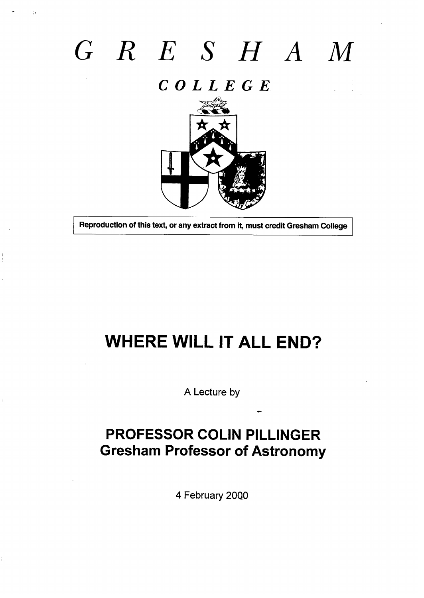# $G \ R \ E \ S \ H \ A \ M$

## $C$  O L L E G E



Reproduction of this text, or any extract from it, must credit Gresham College

# **WHERE WILL IT ALL END?**

A Lecture by

## **PROFESSOR COLIN PILLINGER Gresham Professor of Astronomy**

4 February 2000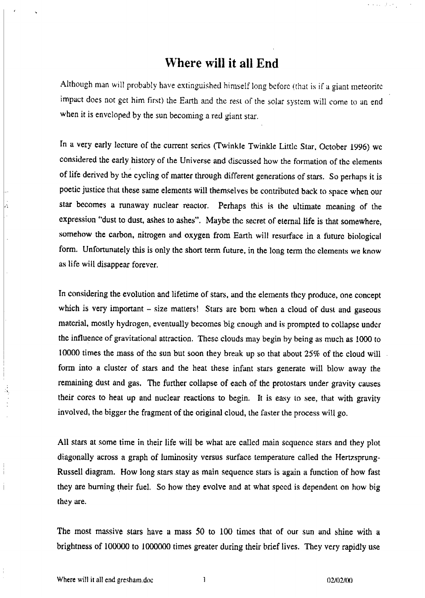#### **Where will it all End**

Although man will probably have extinguished himself long before (that is if a giant meteorite impact does not get him first) the Earth and the rest of the solar system will come to an end when it is enveloped by the sun becoming a red giant star.

In a very early Iecture of the current series (Twinkle Twinkle Little Star. October 1996) wc considered the early history of the Universe and discussed how the formation of the elements of life derived by the cycling of matter through different generations of stars, So perhaps jt is poetic justice that these same elements will themselves be contributed back to space when our star becomes a runaway nuclear reactor. Perhaps this is the ultimate meaning of the expression "dust to dust, ashes to ashes". Maybe the secret of etemul life is that somewhere, somehow the carbon, nitrogen and oxygen from Earth will resurface in a future biological form. Unfortunately this is only the short term future, in the long term the elements we know as life will disappear forever.

In considering the evolution and lifetime of stars, and the elements they produce, one concept which is very important  $-$  size matters! Stars are born when a cloud of dust and gaseous material, mostly hydrogen, eventually becomes big enough and is prompted to collapse under the influence of gravitational attraction. These clouds may begin by being as much as 1000 to 10000 times the mass of the sun but **soon** they break up so that ubout 25% of the cloud will form into a cluster of stars and the heat these infant stars generate will blow away the remaining dust and gas, The further collapse of each of the protostars under gravity causes their cores to heat up and nuclear reactions to begin. It is easy to see, that with gravity involved, the bigger the fragment of the original cloud, the faster the process will go.

All stars at some time in their life will be what are cdlcd main scquencc stars and they plot diagonally across a graph of luminosity versus surface temperature called the Hertzsprung-Russell diagram. How long stars stay as main sequence stars is again a function of how fast they are burning their fuel. So how they evolve and at what speed is dependent on how big they are.

The most massive stars have a mass  $50$  to 100 times that of our sun and shine with a brightness of 100000 to 1000000 times greater during their brief lives. They very rapidly use

I

,:

**.'"i**

>

العواقل وبالمحاء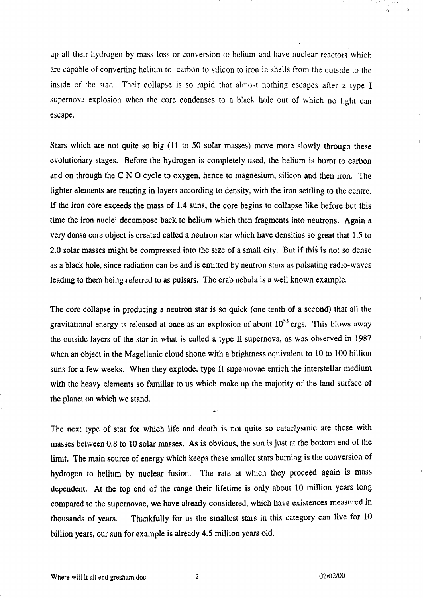up all their hydrogen by mass loss or conversion to helium and huve nuclear reactors which are capable of converting helium to carbon to silicon to iron in shells from the outside to the inside of the star. Their collapse is so rapid that almost nothing escapes after a type I supernova explosion when the core condenses to a black hole out of which no light can escape.

Stars which are not quite so big (11 to 50 solar masses) move more slowly through these cvolutionary stages. Before the hydrogen is completely used, the helium is burnt to carbon and on through the C N O cycle to oxygen, hence to magnesium, silicon and then iron. The lighter elements are reacting in layers according to density, with the iron settling to lhe centre. If the iron core exceeds the mass of  $1.4$  suns, the core begins to collapse like before but this time the iron nuclei decompose back to helium which then fragments inlo neutrons. Again a very dense core object is created called a neutron star which have densities so great that 1.5 to 2.0 solar masses might be compressed into the size of a small city. But if this is not so dense as a black hole, since radiation can be and is emitted by neutron stars as pulsating radio-waves leading to them being referred to as pulsars. The crab nebula is a well known example.

The core collapse in producing a neutron star is so quick (one tenth of a second) that all the gravitational energy is released at once as an explosion of about  $10^{53}$  ergs. This blows away the outside layers of the star in what is called a type II supernova, as was observed in  $1987$ when an object in the Magellanic cloud shone with a brightness equivalent to 10 to 100 billion suns for a few weeks. When they explode, type II supernovae enrich the interstellar medium with the heavy elements so familiar to us which make up the majority of the land surface of the planet on which we stand.

The next type of star for which life and death is not quite so cataclysmic are those with masses between 0.8 to 10 solar masses. As is obvious, the sun is just at the bottom end of the limit. The main source of energy which keeps these smaller stars burning is the conversion of hydrogen to helium by nuclear fusion. The rate at which they proceed again is mass dependent. At the top cnd of the range their lifetime is only about 10 million years long compared to the supernovae, we have already considered, which have existences measured in thousands of years. Thankfully for us the smallest stars in this category can live for 10 billion years, our sun for example is already 4.5 million years old.

. And the set of the set of the set of the set of the set of the set of the set of the set of the set of the set of the set of the set of the set of the set of the set of the set of the set of the set of the set of the se

 $\eta_{\rm c}$  ,  $\eta_{\rm c}$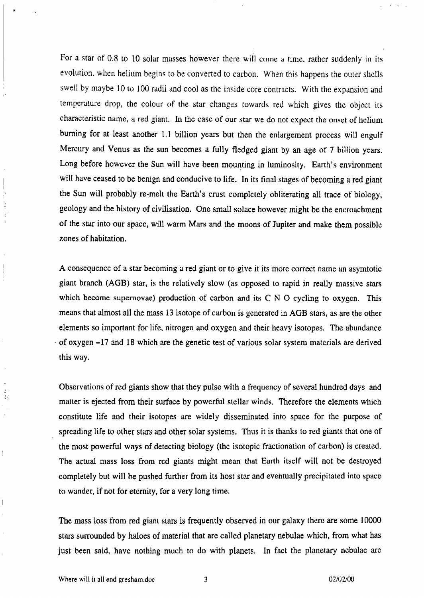For a star of 0.8 to 10 solar masses however there will come a time, rather suddenly in its evolution, when helium begins to be converted to carbon. When this happens the outer shells swell by maybe 10 to 100 radii and cool as the inside core contracts. With the expansion and temperature drop, the colour of the star changes towards red which gives the object its characteristic name, a red giant. In the case of our star we do not expect the onset of helium burning for at least another 1,1 billion years but then the enlargement process will engulf Mercury and Venus as the sun becomes a fully fledged giant by an age of 7 billion years. Long before however the Sun will have been mounting in luminosity, Earth's environment will have ceased to be benign and conducive to life. In its final stages of becoming a red giant the Sun will probably re-melt the Earth's crust completely obliterating all trace of biology, geology and the history of civilisation. One small solace however might be the encroachment of the star into our space, will warm Mars and the moons of Jupiter and make them possible zones of habitation.

A consequence of a star becoming a red giant or to give it its more correct name an asymtotic giant branch (AGB) star, is the relatively slow (as opposed to rapid in really massive stars which become supernovae) production of carbon and its  $C \setminus N$   $O$  cycling to oxygen. This means that almost all the mass 13 isotope of carbon is generated in AGB stars, as are the other elements so important for life, nitrogen and oxygen and their heavy isotopes. The abundance  $-$  of oxygen  $-17$  and 18 which are the genetic test of various solar system materials are derived this way.

Observations of red giants show that they pulse with a frequency of several hundred days and matter is ejected from their surface by powerful stellar winds. Therefore the elements which constitute life and their isotopes are widely disseminated into space for the purpose of spreading life to other stars and other solar systems. Thus it is thanks to red giants that one of the most powerful ways of detecting biology (the isotopic fractionation of carbon) is created, The actual mass loss from rcd giants might mean that Earth itself will not be destroyed completely but will be pushed further from its host star and eventually precipitated into space to wander, if not for eternity, for a very long time.

The mass loss from red giant stars is frequently observed in our galaxy there are some 10000 stars surrounded by haloes of material that arc called planetary nebulae which, from what has just been said, have nothing much to do with planets. In fact the planetary nebulae are

 $\cdot$  .

 $\, \vert \,$ 

 $\mathbf i$ 

 $\frac{1}{2}$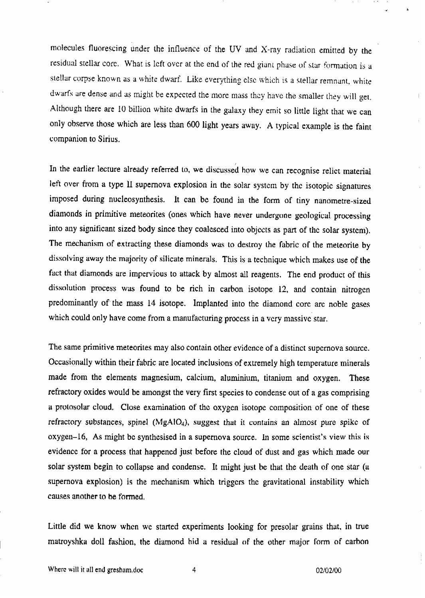molecules fluorescing under the influence of the UV and X-ray radiation emitted by the residual stellar core. What is left over at the end of the red giant phase of star formation is a stellar corpse known as a white dwarf. Like everything clse which is a stellar remnant, white dwarfs are dense and as might be expected the more mass they have the smaller they will get. Although there are 10 billion white dwarfs in the galaxy they emit so little light that we can only observe those **which** are less than 600 light years away. A typical example is the faint companion to Sirius.

In the earlier lecture already referred to, we discussed how we can recognise relict material left over from a type II supernova explosion in the solar system by the isotopic signatures imposed during nucleosynthesis. lt can be found in the form of tiny nanometre-sized diamonds in primitive meteorites (ones which have never undergone geological processing into any significant sized body since they coalesced into objects as part of the solar systcm). The mechanism of extracting these diamonds was to destroy the fabric of the meteorite by dissolving away the majority of silicate minerals. This is a technique which makes use of the fact that diamonds are impervious to attack by almost all reagents. The end product of this dissolution process was found to be rich in carbon isotope 12, and contain nitrogen predominantly of the mass 14 isotope. Implanted into the diamond core are noble gases which could only have come from a manufacturing process in a very massive star.

The same primitive meteorites may also contain other evidence of a distinct supernova source. Occasionally within their fabric are located inclusions of extremely high temperature minerals made from the elements magnesium, calcium, aluminium, titanium and oxygen. These refractory oxides would be amongst the very first species to condense out of a gas comprising a protosolar cloud. Close examination of the oxygen isotope composition of one of these refractory substances, spinel (MgAlO<sub>4</sub>), suggest that it contains an almost pure spike of  $oxygen-16$ , As might be synthesised in a supernova source. In some scientist's view this is evidence for a process that happened just before the cloud of dust and gas which made our solar system begin to collapse and condense. It might just be that the death of one star (a supernova explosion) is the mechanism which triggers the gravitational instability which causes another to be formed.

Little did we know when we started experiments looking for presolar grains that, in true matroyshka doll fashion, the diamond hid a residual of the other major form of carbon

4

,., **<sup>h</sup>**

 $\mathbf{L}$ 

 $\mathbf{r}$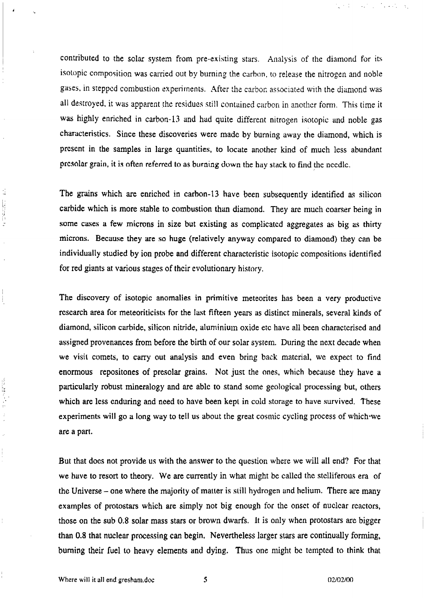contributed to the solar system from pre-existing stars. Analysis of the diamond for its isotopic composition was carried out by burning the carbon, to release the nitrogen and noble gases, in stepped combustion experiments. After the carbon associated with the diamond was all destroyed, it was apparent the residues still contained carbon in another form. This time it was highly enriched in carbon-13 and had quite different nitrogen isotopic and noble gas characteristics. Since these discoveries were made by burning away **the** diamond, which is present in the samples in large quantities, to locate another kind of much less abundant presolar grain, it is often referred to as burning down the hay stack to find the needle.

The grains which are enriched in carbon-13 have been subsequently identified as silicon carbide which is more stable to combustion than diamond. They are much coarser being in some cases a few microns in size but existing as complicated aggregates as big as thirty microns. Because they are so huge (relatively anyway compared to diamond) they can be individually studied by ion probe and different characteristic isotopic compositions identified for red giants at various stages of their evolutionary history,

The discovery of isotopic anomalies in primitive meteorites has been a very productive research area for meteoriticists for the last fifteen years as distinct minerals, several kinds of diamond, silicon carbide, silicon nitride, aluminium oxide etc have all been charactcrised and assigned provenances from before the birth of our solar system. During the next decade when we visil comets, to **carry** out analysis and even bring back material, wc expect to find enormous repositones of presolar grains. Not just the ones, which because they have a particularly robust mineralogy and are able to stand some geological processing but, others which are less enduring and need to have been kept in cold storage to have survived. These experiments will go a long way to tell us about the great cosmic cycling process of which'we arc a part.

But that does not provide us with the answer to the question where we will all end? For that we have to resort to theory. We are currently in what might be called the stelliferous era of the Universe – one where the majority of matter is still hydrogen and helium. There are many examples of protostars which are simply not big enough for the onset of nuclear reactors, those on the sub 0.8 solar mass stars or brown dwarfs. lt is only when protostars arc bigger than 0.8 that nuclear processing can begin. Nevertheless larger stars are continually forming, burning their fuel to heavy elements and dying. Thus one might be tempted to think that

 $\frac{1}{2}$ 

2. 法管辖部署

不可能 アイア

 $\frac{1}{2}$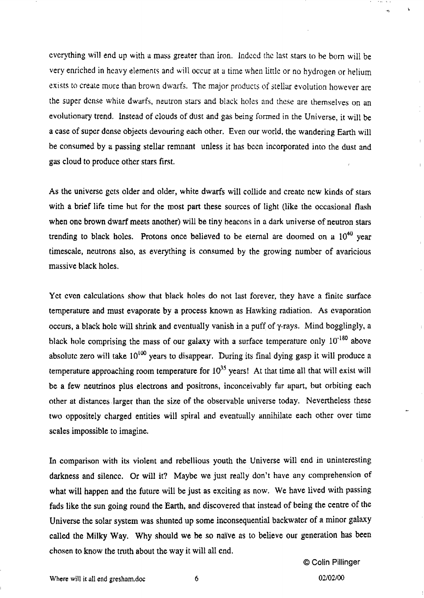everything will end up with a mass greater than iron. Indeed the last stars to be born will be very enriched in heavy elements and will occur at a time when little or no hydrogen or helium exists to create more than brown dwarfs. The major products of stellar evolution however are the super dense white dwarfs, neutron stars and black holes and these are themselves on an evolutionary trend. Instead of clouds of dust and gas being formed in the Universe, it will be a case of super dense objects devouring each other. Even our world, the wandering Earth will be consumed by a passing stellar remnant unless it has been incorporated into the dust and gas cloud to produce other stars first.

As the universe gets older and older, white dwarfs will collide and create new kinds of stars with a brief life time but for the most part these sources of light (like the occasional flash when one brown dwarf meets another) will be tiny beacons in a dark universe of neutron stars trending to black holes. Protons once believed to be eternal are doomed on a  $10^{40}$  year timescale, neutrons also, as everything is consumed by the growing number of avaricious massive black holes.

Yet even calculations show that black holes do not last forever, they have a finite surface temperature and must evaporate by a process known as Hawking radiation. As evaporation occurs, a black hole will shrink and eventually vanish in a puff of y-rays. Mind bogglingly, a black hole comprising the mass of our galaxy with a surface temperature only  $10^{-180}$  above absolute zero will take  $10^{100}$  years to disappear. During its final dying gasp it will produce a temperature approaching room temperature for  $10^{35}$  years! At that time all that will exist will be a few neutrinos plus electrons and positrons, inconceivably far apart, but orbiting each other at distinces larger than the size of the observable universe today, Nevertheless these two oppositely charged entities will spiral and eventually annihilate each other over time scales impossible to imagine.

h comparison with its violent and rebellious youth the Universe will end in uninteresting darkness and silence. Or will it? Maybe we just really don't have any comprehension of what will happen and the future will be just as exciting as now. We have lived with passing fads like the sun going round the Earth, and discovered that instead of being the centre of the Universe the solar system was shunted up some inconsequential backwater of a minor galaxy called the Milky Way. Why should we be so naïve as to believe our generation has been chosen to know the truth about the way it will alI end.

> @Colin Pillinger 02/02/00

,,.

... i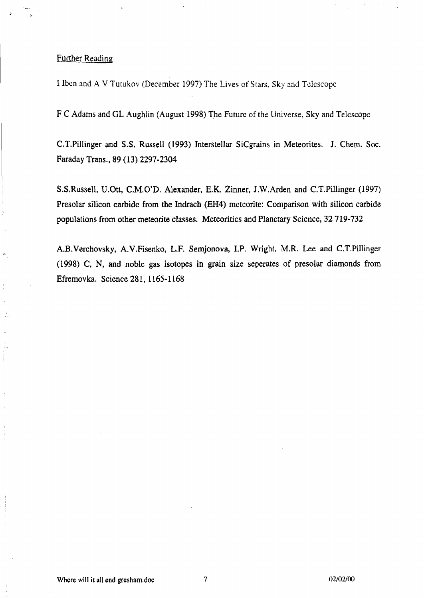#### Further Reading

**J**

.

.

. ..

1lbcn and A V Tu[ukov (DeCernber 1997) The Lives **of stars. Sky** and Tclcscopc

F C Adams and GL Aughlin (August 1998) The Future of the Universe, Sky and Telescope

C.T.Pillinger and S.S. Russell (1993) Interstellar SiCgrains in Meteorites. J. Chem. Soc. Faraday Trans,, 89 (13) 2297-23W

S,S,Russell, U.Ott, C,M.O'D, Alexander, E.K, Zinner, J.W.Arden and C.T.Pillinger (1997) Presolar silicon carbide from the Indrach (EH4) meteorite: Comparison with silicon carbide populations from other meteorite classes. Mctcoritics and Planetary Scicncc, 32719-732

A.B.Verchovsky, A.V.Fisenko, L.F. Semjonova, I.P. Wright, M.R. Lee and C.T.Pillinger (1998) C, N, and noble gas isotopes in grain size seperates of presolar diamonds from Efremovka. Science281, 1165-1168